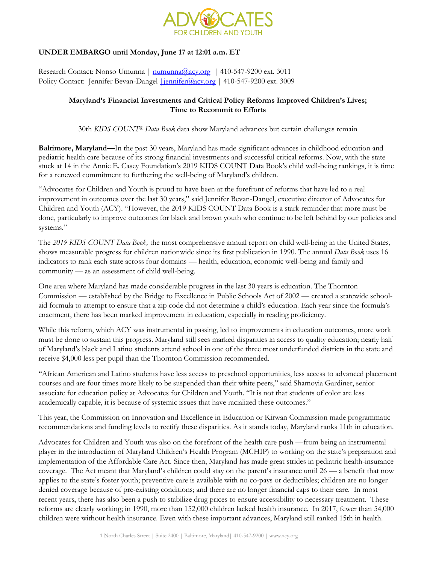

## **UNDER EMBARGO until Monday, June 17 at 12:01 a.m. ET**

Research Contact: Nonso Umunna | [numunna@acy.org](mailto:numunna@acy.org) | 410-547-9200 ext. 3011 Policy Contact: Jennifer Bevan-Dangel *<u>iennifer@acy.org</u>* | 410-547-9200 ext. 3009

### **Maryland's Financial Investments and Critical Policy Reforms Improved Children's Lives; Time to Recommit to Efforts**

30th *KIDS COUNT® Data Book* data show Maryland advances but certain challenges remain

**Baltimore, Maryland—**In the past 30 years, Maryland has made significant advances in childhood education and pediatric health care because of its strong financial investments and successful critical reforms. Now, with the state stuck at 14 in the Annie E. Casey Foundation's 2019 KIDS COUNT Data Book's child well-being rankings, it is time for a renewed commitment to furthering the well-being of Maryland's children.

"Advocates for Children and Youth is proud to have been at the forefront of reforms that have led to a real improvement in outcomes over the last 30 years," said Jennifer Bevan-Dangel, executive director of Advocates for Children and Youth (ACY). "However, the 2019 KIDS COUNT Data Book is a stark reminder that more must be done, particularly to improve outcomes for black and brown youth who continue to be left behind by our policies and systems."

The *2019 KIDS COUNT Data Book,* the most comprehensive annual report on child well-being in the United States, shows measurable progress for children nationwide since its first publication in 1990. The annual *Data Book* uses 16 indicators to rank each state across four domains — health, education, economic well-being and family and community — as an assessment of child well-being.

One area where Maryland has made considerable progress in the last 30 years is education. The Thornton Commission — established by the Bridge to Excellence in Public Schools Act of 2002 — created a statewide schoolaid formula to attempt to ensure that a zip code did not determine a child's education. Each year since the formula's enactment, there has been marked improvement in education, especially in reading proficiency.

While this reform, which ACY was instrumental in passing, led to improvements in education outcomes, more work must be done to sustain this progress. Maryland still sees marked disparities in access to quality education; nearly half of Maryland's black and Latino students attend school in one of the three most underfunded districts in the state and receive \$4,000 less per pupil than the Thornton Commission recommended.

"African American and Latino students have less access to preschool opportunities, less access to advanced placement courses and are four times more likely to be suspended than their white peers," said Shamoyia Gardiner, senior associate for education policy at Advocates for Children and Youth. "It is not that students of color are less academically capable, it is because of systemic issues that have racialized these outcomes."

This year, the Commission on Innovation and Excellence in Education or Kirwan Commission made programmatic recommendations and funding levels to rectify these disparities. As it stands today, Maryland ranks 11th in education.

Advocates for Children and Youth was also on the forefront of the health care push —from being an instrumental player in the introduction of Maryland Children's Health Program (MCHIP) to working on the state's preparation and implementation of the Affordable Care Act. Since then, Maryland has made great strides in pediatric health-insurance coverage. The Act meant that Maryland's children could stay on the parent's insurance until 26 — a benefit that now applies to the state's foster youth; preventive care is available with no co-pays or deductibles; children are no longer denied coverage because of pre-existing conditions; and there are no longer financial caps to their care. In most recent years, there has also been a push to stabilize drug prices to ensure accessibility to necessary treatment. These reforms are clearly working; in 1990, more than 152,000 children lacked health insurance. In 2017, fewer than 54,000 children were without health insurance. Even with these important advances, Maryland still ranked 15th in health.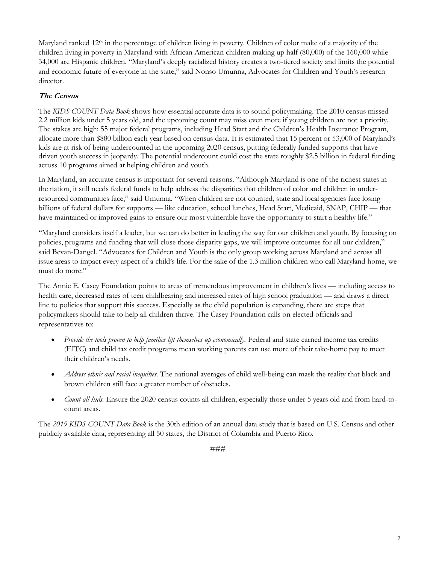Maryland ranked 12<sup>th</sup> in the percentage of children living in poverty. Children of color make of a majority of the children living in poverty in Maryland with African American children making up half (80,000) of the 160,000 while 34,000 are Hispanic children. "Maryland's deeply racialized history creates a two-tiered society and limits the potential and economic future of everyone in the state," said Nonso Umunna, Advocates for Children and Youth's research director.

# **The Census**

The *KIDS COUNT Data Book* shows how essential accurate data is to sound policymaking. The 2010 census missed 2.2 million kids under 5 years old, and the upcoming count may miss even more if young children are not a priority. The stakes are high: 55 major federal programs, including Head Start and the Children's Health Insurance Program, allocate more than \$880 billion each year based on census data. It is estimated that 15 percent or 53,000 of Maryland's kids are at risk of being undercounted in the upcoming 2020 census, putting federally funded supports that have driven youth success in jeopardy. The potential undercount could cost the state roughly \$2.5 billion in federal funding across 10 programs aimed at helping children and youth.

In Maryland, an accurate census is important for several reasons. "Although Maryland is one of the richest states in the nation, it still needs federal funds to help address the disparities that children of color and children in underresourced communities face," said Umunna. "When children are not counted, state and local agencies face losing billions of federal dollars for supports — like education, school lunches, Head Start, Medicaid, SNAP, CHIP — that have maintained or improved gains to ensure our most vulnerable have the opportunity to start a healthy life."

"Maryland considers itself a leader, but we can do better in leading the way for our children and youth. By focusing on policies, programs and funding that will close those disparity gaps, we will improve outcomes for all our children," said Bevan-Dangel. "Advocates for Children and Youth is the only group working across Maryland and across all issue areas to impact every aspect of a child's life. For the sake of the 1.3 million children who call Maryland home, we must do more."

The Annie E. Casey Foundation points to areas of tremendous improvement in children's lives — including access to health care, decreased rates of teen childbearing and increased rates of high school graduation — and draws a direct line to policies that support this success. Especially as the child population is expanding, there are steps that policymakers should take to help all children thrive. The Casey Foundation calls on elected officials and representatives to:

- Provide the tools proven to help families lift themselves up economically. Federal and state earned income tax credits (EITC) and child tax credit programs mean working parents can use more of their take-home pay to meet their children's needs.
- *Address ethnic and racial inequities.* The national averages of child well-being can mask the reality that black and brown children still face a greater number of obstacles.
- *Count all kids.* Ensure the 2020 census counts all children, especially those under 5 years old and from hard-tocount areas.

The *2019 KIDS COUNT Data Book* is the 30th edition of an annual data study that is based on U.S. Census and other publicly available data, representing all 50 states, the District of Columbia and Puerto Rico.

###